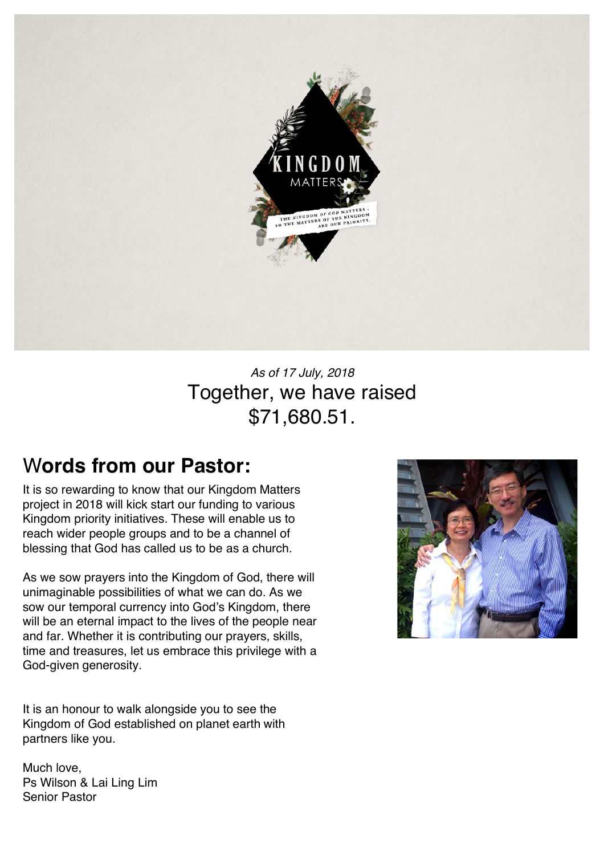

## *As of 17 July, 2018* Together, we have raised \$71,680.51.

# W**ords from our Pastor:**

It is so rewarding to know that our Kingdom Matters project in 2018 will kick start our funding to various Kingdom priority initiatives. These will enable us to reach wider people groups and to be a channel of blessing that God has called us to be as a church.

As we sow prayers into the Kingdom of God, there will unimaginable possibilities of what we can do. As we sow our temporal currency into God's Kingdom, there will be an eternal impact to the lives of the people near and far. Whether it is contributing our prayers, skills, time and treasures, let us embrace this privilege with a God-given generosity.

It is an honour to walk alongside you to see the Kingdom of God established on planet earth with partners like you.

Much love, Ps Wilson & Lai Ling Lim Senior Pastor

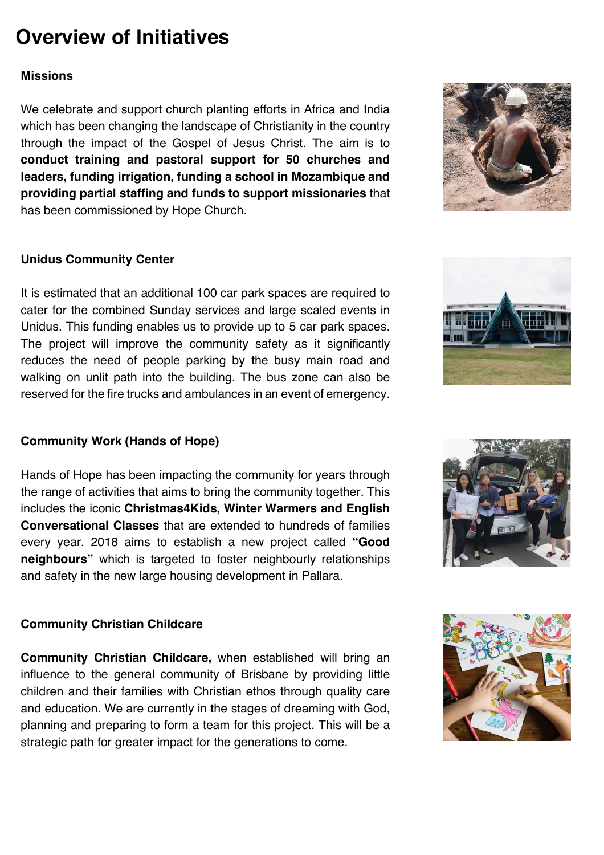# **Overview of Initiatives**

### **Missions**

We celebrate and support church planting efforts in Africa and India which has been changing the landscape of Christianity in the country through the impact of the Gospel of Jesus Christ. The aim is to **conduct training and pastoral support for 50 churches and leaders, funding irrigation, funding a school in Mozambique and providing partial staffing and funds to support missionaries** that has been commissioned by Hope Church.

### **Unidus Community Center**

It is estimated that an additional 100 car park spaces are required to cater for the combined Sunday services and large scaled events in Unidus. This funding enables us to provide up to 5 car park spaces. The project will improve the community safety as it significantly reduces the need of people parking by the busy main road and walking on unlit path into the building. The bus zone can also be reserved for the fire trucks and ambulances in an event of emergency.

### **Community Work (Hands of Hope)**

Hands of Hope has been impacting the community for years through the range of activities that aims to bring the community together. This includes the iconic **Christmas4Kids, Winter Warmers and English Conversational Classes** that are extended to hundreds of families every year. 2018 aims to establish a new project called **"Good neighbours"** which is targeted to foster neighbourly relationships and safety in the new large housing development in Pallara.

### **Community Christian Childcare**

**Community Christian Childcare,** when established will bring an influence to the general community of Brisbane by providing little children and their families with Christian ethos through quality care and education. We are currently in the stages of dreaming with God, planning and preparing to form a team for this project. This will be a strategic path for greater impact for the generations to come.